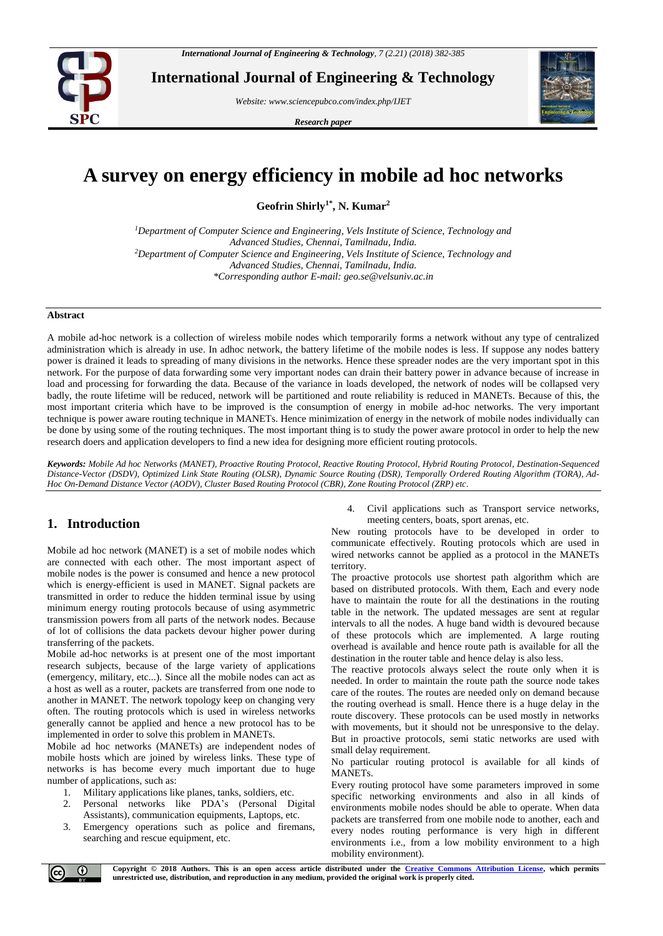

**International Journal of Engineering & Technology**

*Website: www.sciencepubco.com/index.php/IJET*

*Research paper*



# **A survey on energy efficiency in mobile ad hoc networks**

**Geofrin Shirly1\* , N. Kumar<sup>2</sup>**

*<sup>1</sup>Department of Computer Science and Engineering, Vels Institute of Science, Technology and Advanced Studies, Chennai, Tamilnadu, India. <sup>2</sup>Department of Computer Science and Engineering, Vels Institute of Science, Technology and Advanced Studies, Chennai, Tamilnadu, India. \*Corresponding author E-mail: [geo.se@velsuniv.ac.in](mailto:geo.se@velsuniv.ac.in)*

#### **Abstract**

A mobile ad-hoc network is a collection of wireless mobile nodes which temporarily forms a network without any type of centralized administration which is already in use. In adhoc network, the battery lifetime of the mobile nodes is less. If suppose any nodes battery power is drained it leads to spreading of many divisions in the networks. Hence these spreader nodes are the very important spot in this network. For the purpose of data forwarding some very important nodes can drain their battery power in advance because of increase in load and processing for forwarding the data. Because of the variance in loads developed, the network of nodes will be collapsed very badly, the route lifetime will be reduced, network will be partitioned and route reliability is reduced in MANETs. Because of this, the most important criteria which have to be improved is the consumption of energy in mobile ad-hoc networks. The very important technique is power aware routing technique in MANETs. Hence minimization of energy in the network of mobile nodes individually can be done by using some of the routing techniques. The most important thing is to study the power aware protocol in order to help the new research doers and application developers to find a new idea for designing more efficient routing protocols.

*Keywords: Mobile Ad hoc Networks (MANET), Proactive Routing Protocol, Reactive Routing Protocol, Hybrid Routing Protocol, Destination-Sequenced Distance-Vector (DSDV), Optimized Link State Routing (OLSR), Dynamic Source Routing (DSR), Temporally Ordered Routing Algorithm (TORA), Ad-Hoc On-Demand Distance Vector (AODV), Cluster Based Routing Protocol (CBR), Zone Routing Protocol (ZRP) etc*.

## **1. Introduction**

Mobile ad hoc network (MANET) is a set of mobile nodes which are connected with each other. The most important aspect of mobile nodes is the power is consumed and hence a new protocol which is energy-efficient is used in MANET. Signal packets are transmitted in order to reduce the hidden terminal issue by using minimum energy routing protocols because of using asymmetric transmission powers from all parts of the network nodes. Because of lot of collisions the data packets devour higher power during transferring of the packets.

Mobile ad-hoc networks is at present one of the most important research subjects, because of the large variety of applications (emergency, military, etc...). Since all the mobile nodes can act as a host as well as a router, packets are transferred from one node to another in MANET. The network topology keep on changing very often. The routing protocols which is used in wireless networks generally cannot be applied and hence a new protocol has to be implemented in order to solve this problem in MANETs.

Mobile ad hoc networks (MANETs) are independent nodes of mobile hosts which are joined by wireless links. These type of networks is has become every much important due to huge number of applications, such as:

- 1. Military applications like planes, tanks, soldiers, etc.
- 2. Personal networks like PDA's (Personal Digital Assistants), communication equipments, Laptops, etc.
- 3. Emergency operations such as police and firemans, searching and rescue equipment, etc.

4. Civil applications such as Transport service networks, meeting centers, boats, sport arenas, etc.

New routing protocols have to be developed in order to communicate effectively. Routing protocols which are used in wired networks cannot be applied as a protocol in the MANETs territory.

The proactive protocols use shortest path algorithm which are based on distributed protocols. With them, Each and every node have to maintain the route for all the destinations in the routing table in the network. The updated messages are sent at regular intervals to all the nodes. A huge band width is devoured because of these protocols which are implemented. A large routing overhead is available and hence route path is available for all the destination in the router table and hence delay is also less.

The reactive protocols always select the route only when it is needed. In order to maintain the route path the source node takes care of the routes. The routes are needed only on demand because the routing overhead is small. Hence there is a huge delay in the route discovery. These protocols can be used mostly in networks with movements, but it should not be unresponsive to the delay. But in proactive protocols, semi static networks are used with small delay requirement.

No particular routing protocol is available for all kinds of MANETs.

Every routing protocol have some parameters improved in some specific networking environments and also in all kinds of environments mobile nodes should be able to operate. When data packets are transferred from one mobile node to another, each and every nodes routing performance is very high in different environments i.e., from a low mobility environment to a high mobility environment).



**Copyright © 2018 Authors. This is an open access article distributed under the [Creative Commons Attribution License,](http://creativecommons.org/licenses/by/3.0/) which permits unrestricted use, distribution, and reproduction in any medium, provided the original work is properly cited.**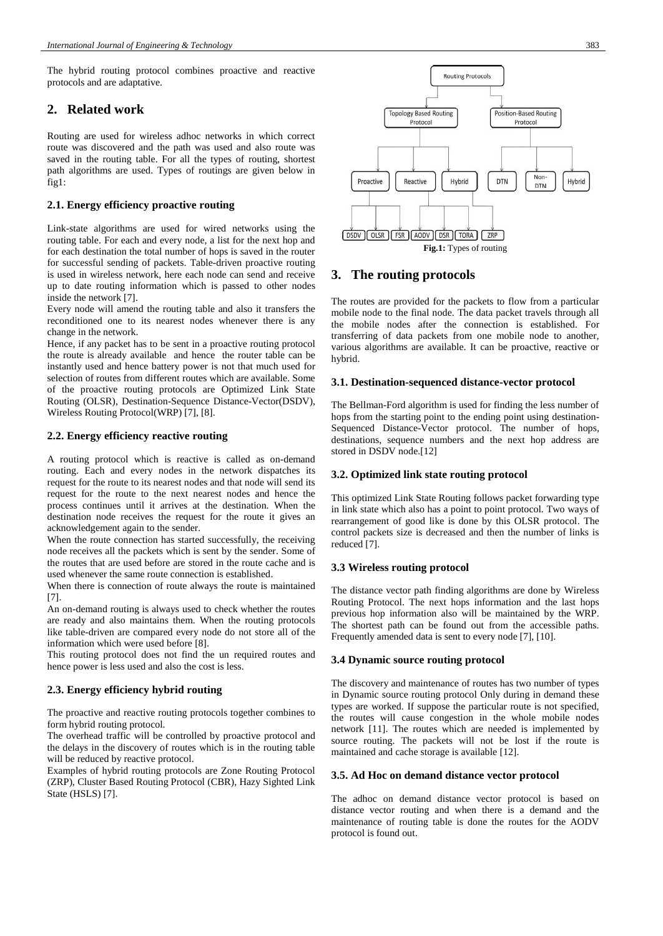The hybrid routing protocol combines proactive and reactive protocols and are adaptative.

## **2. Related work**

Routing are used for wireless adhoc networks in which correct route was discovered and the path was used and also route was saved in the routing table. For all the types of routing, shortest path algorithms are used. Types of routings are given below in fig1:

#### **2.1. Energy efficiency proactive routing**

Link-state algorithms are used for wired networks using the routing table. For each and every node, a list for the next hop and for each destination the total number of hops is saved in the router for successful sending of packets. Table-driven proactive routing is used in wireless network, here each node can send and receive up to date routing information which is passed to other nodes inside the network [7].

Every node will amend the routing table and also it transfers the reconditioned one to its nearest nodes whenever there is any change in the network.

Hence, if any packet has to be sent in a proactive routing protocol the route is already available and hence the router table can be instantly used and hence battery power is not that much used for selection of routes from different routes which are available. Some of the proactive routing protocols are Optimized Link State Routing (OLSR), Destination-Sequence Distance-Vector(DSDV), Wireless Routing Protocol(WRP) [7], [8].

#### **2.2. Energy efficiency reactive routing**

A routing protocol which is reactive is called as on-demand routing. Each and every nodes in the network dispatches its request for the route to its nearest nodes and that node will send its request for the route to the next nearest nodes and hence the process continues until it arrives at the destination. When the destination node receives the request for the route it gives an acknowledgement again to the sender.

When the route connection has started successfully, the receiving node receives all the packets which is sent by the sender. Some of the routes that are used before are stored in the route cache and is used whenever the same route connection is established.

When there is connection of route always the route is maintained [7].

An on-demand routing is always used to check whether the routes are ready and also maintains them. When the routing protocols like table-driven are compared every node do not store all of the information which were used before [8].

This routing protocol does not find the un required routes and hence power is less used and also the cost is less.

#### **2.3. Energy efficiency hybrid routing**

The proactive and reactive routing protocols together combines to form hybrid routing protocol.

The overhead traffic will be controlled by proactive protocol and the delays in the discovery of routes which is in the routing table will be reduced by reactive protocol.

Examples of hybrid routing protocols are Zone Routing Protocol (ZRP), Cluster Based Routing Protocol (CBR), Hazy Sighted Link State (HSLS) [7].



### **3. The routing protocols**

The routes are provided for the packets to flow from a particular mobile node to the final node. The data packet travels through all the mobile nodes after the connection is established. For transferring of data packets from one mobile node to another, various algorithms are available. It can be proactive, reactive or hybrid.

#### **3.1. Destination-sequenced distance-vector protocol**

The Bellman-Ford algorithm is used for finding the less number of hops from the starting point to the ending point using destination-Sequenced Distance-Vector protocol. The number of hops, destinations, sequence numbers and the next hop address are stored in DSDV node.[12]

#### **3.2. Optimized link state routing protocol**

This optimized Link State Routing follows packet forwarding type in link state which also has a point to point protocol. Two ways of rearrangement of good like is done by this OLSR protocol. The control packets size is decreased and then the number of links is reduced [7].

#### **3.3 Wireless routing protocol**

The distance vector path finding algorithms are done by Wireless Routing Protocol. The next hops information and the last hops previous hop information also will be maintained by the WRP. The shortest path can be found out from the accessible paths. Frequently amended data is sent to every node [7], [10].

#### **3.4 Dynamic source routing protocol**

The discovery and maintenance of routes has two number of types in Dynamic source routing protocol Only during in demand these types are worked. If suppose the particular route is not specified, the routes will cause congestion in the whole mobile nodes network [11]. The routes which are needed is implemented by source routing. The packets will not be lost if the route is maintained and cache storage is available [12].

#### **3.5. Ad Hoc on demand distance vector protocol**

The adhoc on demand distance vector protocol is based on distance vector routing and when there is a demand and the maintenance of routing table is done the routes for the AODV protocol is found out.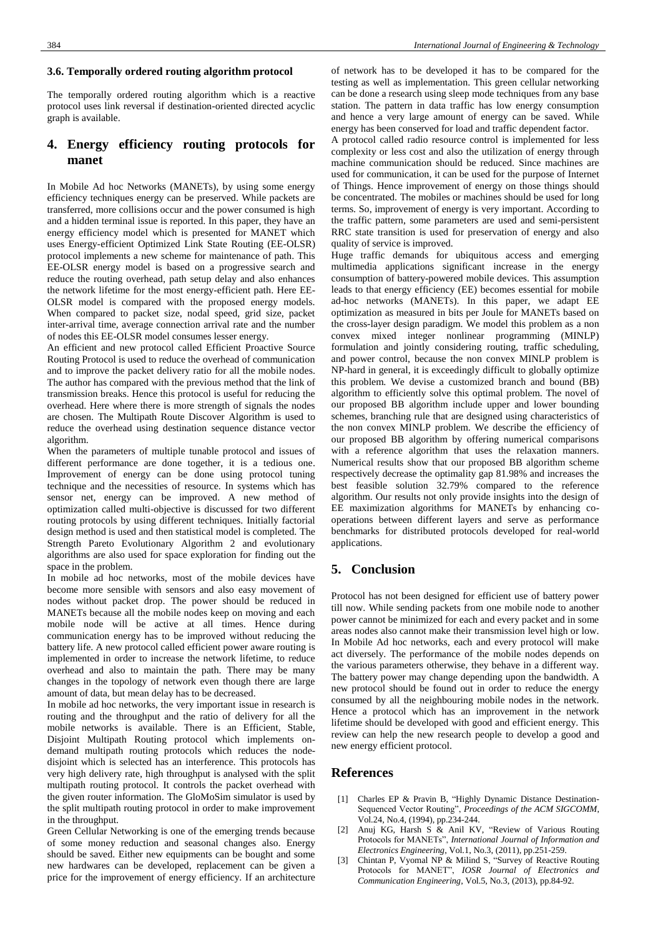#### **3.6. Temporally ordered routing algorithm protocol**

The temporally ordered routing algorithm which is a reactive protocol uses link reversal if destination-oriented directed acyclic graph is available.

# **4. Energy efficiency routing protocols for manet**

In Mobile Ad hoc Networks (MANETs), by using some energy efficiency techniques energy can be preserved. While packets are transferred, more collisions occur and the power consumed is high and a hidden terminal issue is reported. In this paper, they have an energy efficiency model which is presented for MANET which uses Energy-efficient Optimized Link State Routing (EE-OLSR) protocol implements a new scheme for maintenance of path. This EE-OLSR energy model is based on a progressive search and reduce the routing overhead, path setup delay and also enhances the network lifetime for the most energy-efficient path. Here EE-OLSR model is compared with the proposed energy models. When compared to packet size, nodal speed, grid size, packet inter-arrival time, average connection arrival rate and the number of nodes this EE-OLSR model consumes lesser energy.

An efficient and new protocol called Efficient Proactive Source Routing Protocol is used to reduce the overhead of communication and to improve the packet delivery ratio for all the mobile nodes. The author has compared with the previous method that the link of transmission breaks. Hence this protocol is useful for reducing the overhead. Here where there is more strength of signals the nodes are chosen. The Multipath Route Discover Algorithm is used to reduce the overhead using destination sequence distance vector algorithm.

When the parameters of multiple tunable protocol and issues of different performance are done together, it is a tedious one. Improvement of energy can be done using protocol tuning technique and the necessities of resource. In systems which has sensor net, energy can be improved. A new method of optimization called multi-objective is discussed for two different routing protocols by using different techniques. Initially factorial design method is used and then statistical model is completed. The Strength Pareto Evolutionary Algorithm 2 and evolutionary algorithms are also used for space exploration for finding out the space in the problem.

In mobile ad hoc networks, most of the mobile devices have become more sensible with sensors and also easy movement of nodes without packet drop. The power should be reduced in MANETs because all the mobile nodes keep on moving and each mobile node will be active at all times. Hence during communication energy has to be improved without reducing the battery life. A new protocol called efficient power aware routing is implemented in order to increase the network lifetime, to reduce overhead and also to maintain the path. There may be many changes in the topology of network even though there are large amount of data, but mean delay has to be decreased.

In mobile ad hoc networks, the very important issue in research is routing and the throughput and the ratio of delivery for all the mobile networks is available. There is an Efficient, Stable, Disjoint Multipath Routing protocol which implements ondemand multipath routing protocols which reduces the nodedisjoint which is selected has an interference. This protocols has very high delivery rate, high throughput is analysed with the split multipath routing protocol. It controls the packet overhead with the given router information. The GloMoSim simulator is used by the split multipath routing protocol in order to make improvement in the throughput.

Green Cellular Networking is one of the emerging trends because of some money reduction and seasonal changes also. Energy should be saved. Either new equipments can be bought and some new hardwares can be developed, replacement can be given a price for the improvement of energy efficiency. If an architecture

of network has to be developed it has to be compared for the testing as well as implementation. This green cellular networking can be done a research using sleep mode techniques from any base station. The pattern in data traffic has low energy consumption and hence a very large amount of energy can be saved. While energy has been conserved for load and traffic dependent factor.

A protocol called radio resource control is implemented for less complexity or less cost and also the utilization of energy through machine communication should be reduced. Since machines are used for communication, it can be used for the purpose of Internet of Things. Hence improvement of energy on those things should be concentrated. The mobiles or machines should be used for long terms. So, improvement of energy is very important. According to the traffic pattern, some parameters are used and semi-persistent RRC state transition is used for preservation of energy and also quality of service is improved.

Huge traffic demands for ubiquitous access and emerging multimedia applications significant increase in the energy consumption of battery-powered mobile devices. This assumption leads to that energy efficiency (EE) becomes essential for mobile ad-hoc networks (MANETs). In this paper, we adapt EE optimization as measured in bits per Joule for MANETs based on the cross-layer design paradigm. We model this problem as a non convex mixed integer nonlinear programming (MINLP) formulation and jointly considering routing, traffic scheduling, and power control, because the non convex MINLP problem is NP-hard in general, it is exceedingly difficult to globally optimize this problem. We devise a customized branch and bound (BB) algorithm to efficiently solve this optimal problem. The novel of our proposed BB algorithm include upper and lower bounding schemes, branching rule that are designed using characteristics of the non convex MINLP problem. We describe the efficiency of our proposed BB algorithm by offering numerical comparisons with a reference algorithm that uses the relaxation manners. Numerical results show that our proposed BB algorithm scheme respectively decrease the optimality gap 81.98% and increases the best feasible solution 32.79% compared to the reference algorithm. Our results not only provide insights into the design of EE maximization algorithms for MANETs by enhancing cooperations between different layers and serve as performance benchmarks for distributed protocols developed for real-world applications.

## **5. Conclusion**

Protocol has not been designed for efficient use of battery power till now. While sending packets from one mobile node to another power cannot be minimized for each and every packet and in some areas nodes also cannot make their transmission level high or low. In Mobile Ad hoc networks, each and every protocol will make act diversely. The performance of the mobile nodes depends on the various parameters otherwise, they behave in a different way. The battery power may change depending upon the bandwidth. A new protocol should be found out in order to reduce the energy consumed by all the neighbouring mobile nodes in the network. Hence a protocol which has an improvement in the network lifetime should be developed with good and efficient energy. This review can help the new research people to develop a good and new energy efficient protocol.

## **References**

- [1] Charles EP & Pravin B, "Highly Dynamic Distance Destination-Sequenced Vector Routing", *Proceedings of the ACM SIGCOMM*, Vol.24, No.4, (1994), pp.234-244.
- [2] Anuj KG, Harsh S & Anil KV, "Review of Various Routing Protocols for MANETs", *International Journal of Information and Electronics Engineering*, Vol.1, No.3, (2011), pp.251-259.
- [3] Chintan P, Vyomal NP & Milind S, "Survey of Reactive Routing Protocols for MANET", *IOSR Journal of Electronics and Communication Engineering*, Vol.5, No.3, (2013), pp.84-92.